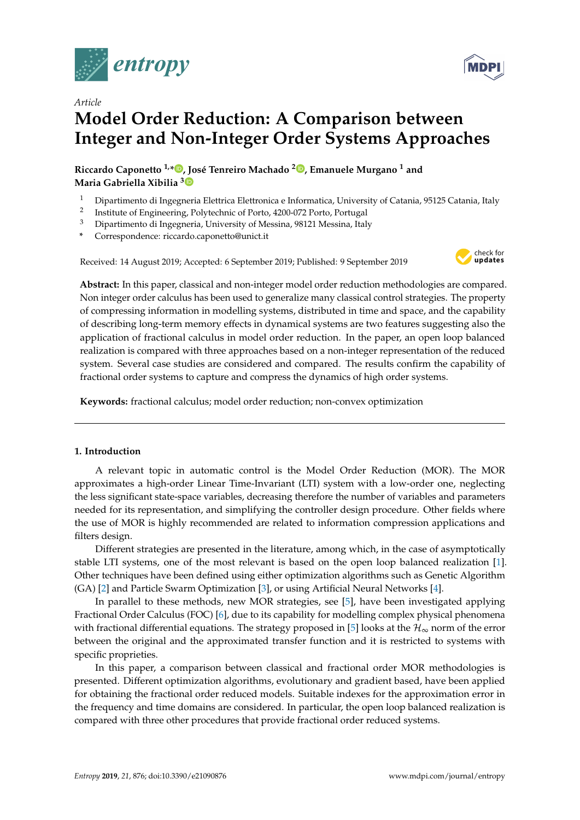



# **Model Order Reduction: A Comparison between Integer and Non-Integer Order Systems Approaches**

**Riccardo Caponetto 1,[\\*](https://orcid.org/0000-0002-9574-7187) , José Tenreiro Machado <sup>2</sup> [,](https://orcid.org/0000-0003-4274-4879) Emanuele Murgano <sup>1</sup> and Maria Gabriella Xibilia [3](https://orcid.org/0000-0001-7723-2051)**

- <sup>1</sup> Dipartimento di Ingegneria Elettrica Elettronica e Informatica, University of Catania, 95125 Catania, Italy
- 2 Institute of Engineering, Polytechnic of Porto, 4200-072 Porto, Portugal
- <sup>3</sup> Dipartimento di Ingegneria, University of Messina, 98121 Messina, Italy
- **\*** Correspondence: riccardo.caponetto@unict.it

Received: 14 August 2019; Accepted: 6 September 2019; Published: 9 September 2019



**MDP** 

**Abstract:** In this paper, classical and non-integer model order reduction methodologies are compared. Non integer order calculus has been used to generalize many classical control strategies. The property of compressing information in modelling systems, distributed in time and space, and the capability of describing long-term memory effects in dynamical systems are two features suggesting also the application of fractional calculus in model order reduction. In the paper, an open loop balanced realization is compared with three approaches based on a non-integer representation of the reduced system. Several case studies are considered and compared. The results confirm the capability of fractional order systems to capture and compress the dynamics of high order systems.

**Keywords:** fractional calculus; model order reduction; non-convex optimization

## **1. Introduction**

A relevant topic in automatic control is the Model Order Reduction (MOR). The MOR approximates a high-order Linear Time-Invariant (LTI) system with a low-order one, neglecting the less significant state-space variables, decreasing therefore the number of variables and parameters needed for its representation, and simplifying the controller design procedure. Other fields where the use of MOR is highly recommended are related to information compression applications and filters design.

Different strategies are presented in the literature, among which, in the case of asymptotically stable LTI systems, one of the most relevant is based on the open loop balanced realization [\[1\]](#page-11-0). Other techniques have been defined using either optimization algorithms such as Genetic Algorithm (GA) [\[2\]](#page-11-1) and Particle Swarm Optimization [\[3\]](#page-11-2), or using Artificial Neural Networks [\[4\]](#page-11-3).

In parallel to these methods, new MOR strategies, see [\[5\]](#page-11-4), have been investigated applying Fractional Order Calculus (FOC) [\[6\]](#page-11-5), due to its capability for modelling complex physical phenomena with fractional differential equations. The strategy proposed in [\[5\]](#page-11-4) looks at the  $\mathcal{H}_{\infty}$  norm of the error between the original and the approximated transfer function and it is restricted to systems with specific proprieties.

In this paper, a comparison between classical and fractional order MOR methodologies is presented. Different optimization algorithms, evolutionary and gradient based, have been applied for obtaining the fractional order reduced models. Suitable indexes for the approximation error in the frequency and time domains are considered. In particular, the open loop balanced realization is compared with three other procedures that provide fractional order reduced systems.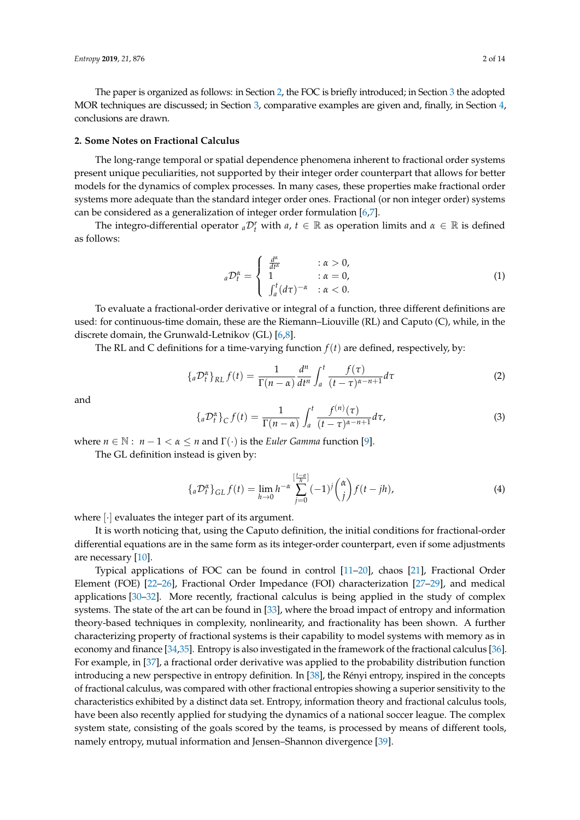The paper is organized as follows: in Section [2,](#page-1-0) the FOC is briefly introduced; in Section [3](#page-2-0) the adopted MOR techniques are discussed; in Section [3,](#page-2-0) comparative examples are given and, finally, in Section [4,](#page-5-0) conclusions are drawn.

#### <span id="page-1-0"></span>**2. Some Notes on Fractional Calculus**

The long-range temporal or spatial dependence phenomena inherent to fractional order systems present unique peculiarities, not supported by their integer order counterpart that allows for better models for the dynamics of complex processes. In many cases, these properties make fractional order systems more adequate than the standard integer order ones. Fractional (or non integer order) systems can be considered as a generalization of integer order formulation [\[6,](#page-11-5)[7\]](#page-11-6).

The integro-differential operator  ${}_{a}\mathcal{D}^r_t$  with  $a, t \in \mathbb{R}$  as operation limits and  $\alpha \in \mathbb{R}$  is defined as follows:

$$
{}_{a}\mathcal{D}_{t}^{\alpha} = \begin{cases} \frac{d^{\alpha}}{dt^{\alpha}} & : \alpha > 0, \\ 1 & : \alpha = 0, \\ \int_{a}^{t} (d\tau)^{-\alpha} & : \alpha < 0. \end{cases}
$$
 (1)

To evaluate a fractional-order derivative or integral of a function, three different definitions are used: for continuous-time domain, these are the Riemann–Liouville (RL) and Caputo (C), while, in the discrete domain, the Grunwald-Letnikov (GL) [\[6](#page-11-5)[,8\]](#page-11-7).

The RL and C definitions for a time-varying function  $f(t)$  are defined, respectively, by:

$$
\{{}_a\mathcal{D}_t^{\alpha}\}_{RL} f(t) = \frac{1}{\Gamma(n-\alpha)} \frac{d^n}{dt^n} \int_a^t \frac{f(\tau)}{(t-\tau)^{\alpha-n+1}} d\tau \tag{2}
$$

and

$$
\{{}_a\mathcal{D}_t^{\alpha}\}_C f(t) = \frac{1}{\Gamma(n-\alpha)} \int_a^t \frac{f^{(n)}(\tau)}{(t-\tau)^{\alpha-n+1}} d\tau,\tag{3}
$$

where  $n \in \mathbb{N}: n-1 < \alpha \leq n$  and  $\Gamma(\cdot)$  is the *Euler Gamma* function [\[9\]](#page-11-8).

The GL definition instead is given by:

$$
\{{}_a\mathcal{D}_t^{\alpha}\}_{GL} f(t) = \lim_{h \to 0} h^{-\alpha} \sum_{j=0}^{[\frac{t-a}{h}]} (-1)^j {\alpha \choose j} f(t - jh), \tag{4}
$$

where [·] evaluates the integer part of its argument.

It is worth noticing that, using the Caputo definition, the initial conditions for fractional-order differential equations are in the same form as its integer-order counterpart, even if some adjustments are necessary [\[10\]](#page-11-9).

Typical applications of FOC can be found in control [\[11–](#page-11-10)[20\]](#page-12-0), chaos [\[21\]](#page-12-1), Fractional Order Element (FOE) [\[22](#page-12-2)[–26\]](#page-12-3), Fractional Order Impedance (FOI) characterization [\[27–](#page-12-4)[29\]](#page-12-5), and medical applications [\[30](#page-12-6)[–32\]](#page-12-7). More recently, fractional calculus is being applied in the study of complex systems. The state of the art can be found in [\[33\]](#page-12-8), where the broad impact of entropy and information theory-based techniques in complexity, nonlinearity, and fractionality has been shown. A further characterizing property of fractional systems is their capability to model systems with memory as in economy and finance [\[34](#page-12-9)[,35\]](#page-12-10). Entropy is also investigated in the framework of the fractional calculus [\[36\]](#page-12-11). For example, in [\[37\]](#page-12-12), a fractional order derivative was applied to the probability distribution function introducing a new perspective in entropy definition. In [\[38\]](#page-12-13), the Rényi entropy, inspired in the concepts of fractional calculus, was compared with other fractional entropies showing a superior sensitivity to the characteristics exhibited by a distinct data set. Entropy, information theory and fractional calculus tools, have been also recently applied for studying the dynamics of a national soccer league. The complex system state, consisting of the goals scored by the teams, is processed by means of different tools, namely entropy, mutual information and Jensen–Shannon divergence [\[39\]](#page-12-14).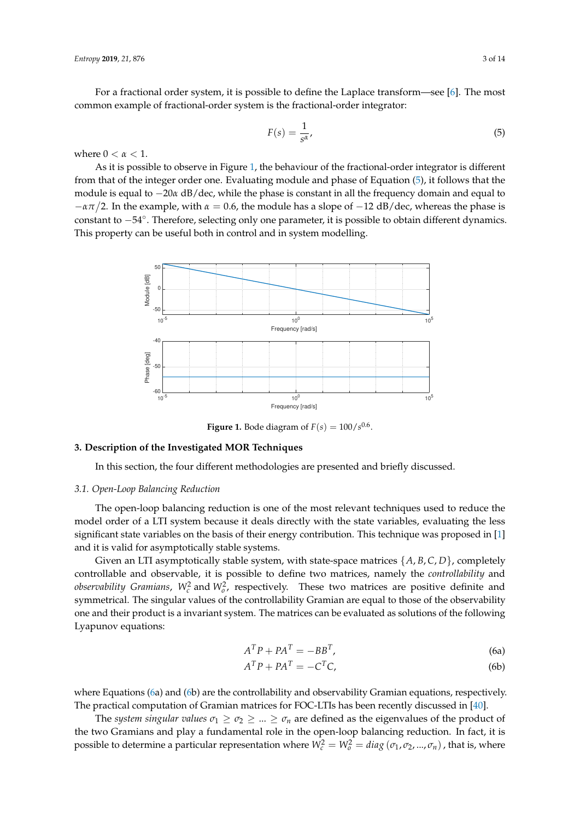For a fractional order system, it is possible to define the Laplace transform—see [\[6\]](#page-11-5). The most common example of fractional-order system is the fractional-order integrator:

<span id="page-2-2"></span>
$$
F(s) = \frac{1}{s^{\alpha}},\tag{5}
$$

where  $0 < \alpha < 1$ .

As it is possible to observe in Figure [1,](#page-2-1) the behaviour of the fractional-order integrator is different from that of the integer order one. Evaluating module and phase of Equation [\(5\)](#page-2-2), it follows that the module is equal to −20*α* dB/dec, while the phase is constant in all the frequency domain and equal to −*απ* 2. In the example, with *α* = 0.6, the module has a slope of −12 dB/dec, whereas the phase is constant to −54◦ . Therefore, selecting only one parameter, it is possible to obtain different dynamics. This property can be useful both in control and in system modelling.

<span id="page-2-1"></span>

**Figure 1.** Bode diagram of  $F(s) = 100/s^{0.6}$ .

#### <span id="page-2-0"></span>**3. Description of the Investigated MOR Techniques**

In this section, the four different methodologies are presented and briefly discussed.

### *3.1. Open-Loop Balancing Reduction*

The open-loop balancing reduction is one of the most relevant techniques used to reduce the model order of a LTI system because it deals directly with the state variables, evaluating the less significant state variables on the basis of their energy contribution. This technique was proposed in [\[1\]](#page-11-0) and it is valid for asymptotically stable systems.

Given an LTI asymptotically stable system, with state-space matrices {*A*, *B*, *C*, *D*}, completely controllable and observable, it is possible to define two matrices, namely the *controllability* and *observability Gramians,*  $W_c^2$  and  $W_o^2$ , respectively. These two matrices are positive definite and symmetrical. The singular values of the controllability Gramian are equal to those of the observability one and their product is a invariant system. The matrices can be evaluated as solutions of the following Lyapunov equations:

<span id="page-2-3"></span>
$$
A^T P + P A^T = -B B^T, \tag{6a}
$$

$$
A^T P + P A^T = -C^T C,\tag{6b}
$$

where Equations [\(6a](#page-2-3)) and [\(6b](#page-2-3)) are the controllability and observability Gramian equations, respectively. The practical computation of Gramian matrices for FOC-LTIs has been recently discussed in [\[40\]](#page-12-15).

The *system singular values*  $\sigma_1 \geq \sigma_2 \geq ... \geq \sigma_n$  are defined as the eigenvalues of the product of the two Gramians and play a fundamental role in the open-loop balancing reduction. In fact, it is possible to determine a particular representation where  $W_c^2 = W_o^2 = diag(\sigma_1, \sigma_2, ..., \sigma_n)$ , that is, where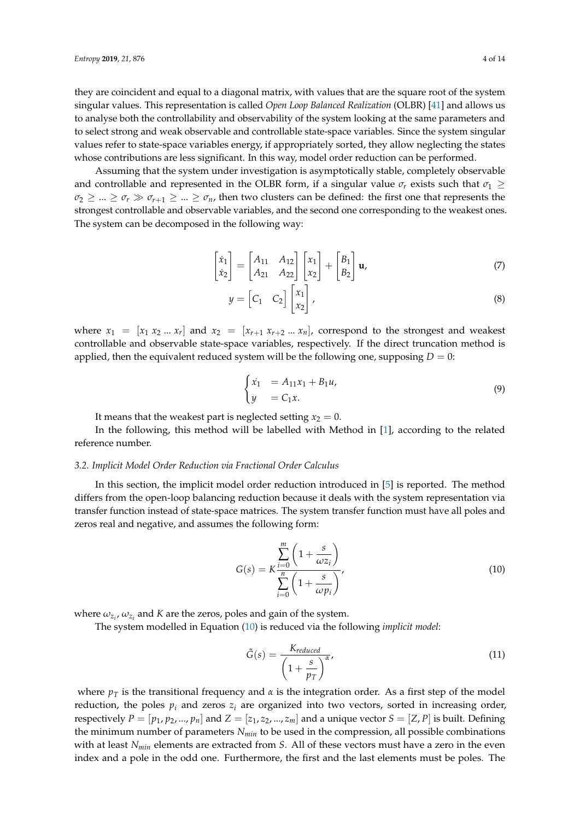they are coincident and equal to a diagonal matrix, with values that are the square root of the system singular values. This representation is called *Open Loop Balanced Realization* (OLBR) [\[41\]](#page-12-16) and allows us to analyse both the controllability and observability of the system looking at the same parameters and to select strong and weak observable and controllable state-space variables. Since the system singular values refer to state-space variables energy, if appropriately sorted, they allow neglecting the states whose contributions are less significant. In this way, model order reduction can be performed.

Assuming that the system under investigation is asymptotically stable, completely observable and controllable and represented in the OLBR form, if a singular value  $\sigma_r$  exists such that  $\sigma_1 \geq$  $\sigma_2 \geq \dots \geq \sigma_r \gg \sigma_{r+1} \geq \dots \geq \sigma_n$ , then two clusters can be defined: the first one that represents the strongest controllable and observable variables, and the second one corresponding to the weakest ones. The system can be decomposed in the following way:

$$
\begin{bmatrix} \dot{x}_1 \\ \dot{x}_2 \end{bmatrix} = \begin{bmatrix} A_{11} & A_{12} \\ A_{21} & A_{22} \end{bmatrix} \begin{bmatrix} x_1 \\ x_2 \end{bmatrix} + \begin{bmatrix} B_1 \\ B_2 \end{bmatrix} \mathbf{u}, \tag{7}
$$

$$
y = \begin{bmatrix} C_1 & C_2 \end{bmatrix} \begin{bmatrix} x_1 \\ x_2 \end{bmatrix}, \tag{8}
$$

where  $x_1 = [x_1 x_2 ... x_r]$  and  $x_2 = [x_{r+1} x_{r+2} ... x_n]$ , correspond to the strongest and weakest controllable and observable state-space variables, respectively. If the direct truncation method is applied, then the equivalent reduced system will be the following one, supposing  $D = 0$ :

$$
\begin{cases} \dot{x}_1 = A_{11}x_1 + B_1u, \\ y = C_1x. \end{cases} \tag{9}
$$

It means that the weakest part is neglected setting  $x_2 = 0$ .

In the following, this method will be labelled with Method in [\[1\]](#page-11-0), according to the related reference number.

#### <span id="page-3-1"></span>*3.2. Implicit Model Order Reduction via Fractional Order Calculus*

In this section, the implicit model order reduction introduced in [\[5\]](#page-11-4) is reported. The method differs from the open-loop balancing reduction because it deals with the system representation via transfer function instead of state-space matrices. The system transfer function must have all poles and zeros real and negative, and assumes the following form:

<span id="page-3-0"></span>
$$
G(s) = K \frac{\sum_{i=0}^{m} \left(1 + \frac{s}{\omega z_i}\right)}{\sum_{i=0}^{n} \left(1 + \frac{s}{\omega p_i}\right)},
$$
\n(10)

where  $\omega_{z_i}$ ,  $\omega_{z_i}$  and *K* are the zeros, poles and gain of the system.

The system modelled in Equation [\(10\)](#page-3-0) is reduced via the following *implicit model*:

$$
\tilde{G}(s) = \frac{K_{reduced}}{\left(1 + \frac{s}{p_T}\right)^{\alpha}},\tag{11}
$$

where  $p_T$  is the transitional frequency and  $\alpha$  is the integration order. As a first step of the model reduction, the poles  $p_i$  and zeros  $z_i$  are organized into two vectors, sorted in increasing order, respectively  $P = [p_1, p_2, ..., p_n]$  and  $Z = [z_1, z_2, ..., z_m]$  and a unique vector  $S = [Z, P]$  is built. Defining the minimum number of parameters *Nmin* to be used in the compression, all possible combinations with at least *Nmin* elements are extracted from *S*. All of these vectors must have a zero in the even index and a pole in the odd one. Furthermore, the first and the last elements must be poles. The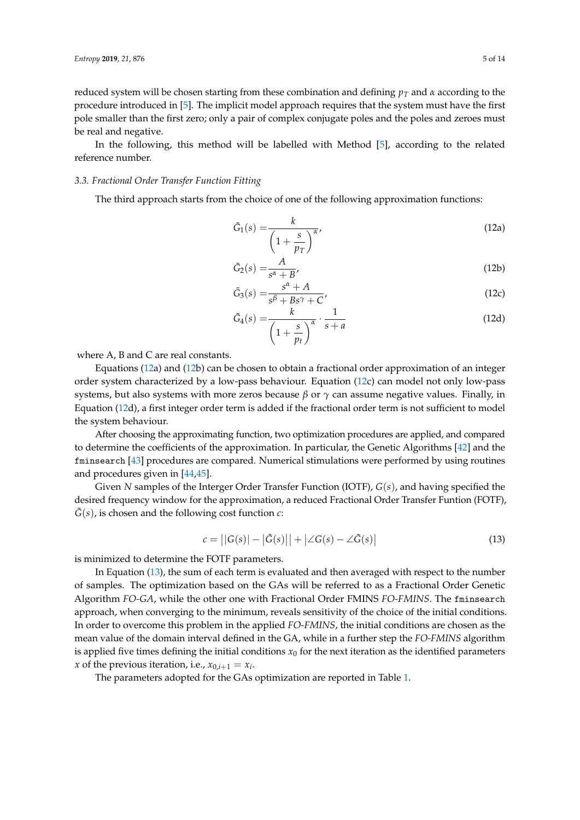reduced system will be chosen starting from these combination and defining *p<sup>T</sup>* and *α* according to the procedure introduced in [\[5\]](#page-11-4). The implicit model approach requires that the system must have the first pole smaller than the first zero; only a pair of complex conjugate poles and the poles and zeroes must be real and negative.

In the following, this method will be labelled with Method [\[5\]](#page-11-4), according to the related reference number.

### *3.3. Fractional Order Transfer Function Fitting*

The third approach starts from the choice of one of the following approximation functions:

$$
\tilde{G}_1(s) = \frac{k}{\left(1 + \frac{s}{p_T}\right)^{\alpha}},\tag{12a}
$$

$$
\tilde{G}_2(s) = \frac{A}{s^{\alpha} + B},\tag{12b}
$$

$$
\tilde{G}_3(s) = \frac{s^{\alpha} + A}{s^{\beta} + Bs^{\gamma} + C'}
$$
\n(12c)

<span id="page-4-0"></span>
$$
\tilde{G}_4(s) = \frac{k}{\left(1 + \frac{s}{p_t}\right)^{\alpha}} \cdot \frac{1}{s + a}
$$
\n(12d)

where A, B and C are real constants.

Equations [\(12a](#page-4-0)) and [\(12b](#page-4-0)) can be chosen to obtain a fractional order approximation of an integer order system characterized by a low-pass behaviour. Equation [\(12c](#page-4-0)) can model not only low-pass systems, but also systems with more zeros because  $β$  or  $γ$  can assume negative values. Finally, in Equation [\(12d](#page-4-0)), a first integer order term is added if the fractional order term is not sufficient to model the system behaviour.

After choosing the approximating function, two optimization procedures are applied, and compared to determine the coefficients of the approximation. In particular, the Genetic Algorithms [\[42\]](#page-12-17) and the fminsearch [\[43\]](#page-12-18) procedures are compared. Numerical stimulations were performed by using routines and procedures given in [\[44,](#page-12-19)[45\]](#page-13-0).

Given *N* samples of the Interger Order Transfer Function (IOTF), *G*(*s*), and having specified the desired frequency window for the approximation, a reduced Fractional Order Transfer Funtion (FOTF),  $G(s)$ , is chosen and the following cost function  $c$ :

<span id="page-4-1"></span>
$$
c = ||G(s)| - |\tilde{G}(s)|| + |\angle G(s) - \angle \tilde{G}(s)| \tag{13}
$$

is minimized to determine the FOTF parameters.

In Equation [\(13\)](#page-4-1), the sum of each term is evaluated and then averaged with respect to the number of samples. The optimization based on the GAs will be referred to as a Fractional Order Genetic Algorithm *FO-GA*, while the other one with Fractional Order FMINS *FO-FMINS*. The fminsearch approach, when converging to the minimum, reveals sensitivity of the choice of the initial conditions. In order to overcome this problem in the applied *FO-FMINS*, the initial conditions are chosen as the mean value of the domain interval defined in the GA, while in a further step the *FO-FMINS* algorithm is applied five times defining the initial conditions  $x_0$  for the next iteration as the identified parameters *x* of the previous iteration, i.e.,  $x_{0,i+1} = x_i$ .

The parameters adopted for the GAs optimization are reported in Table [1.](#page-5-1)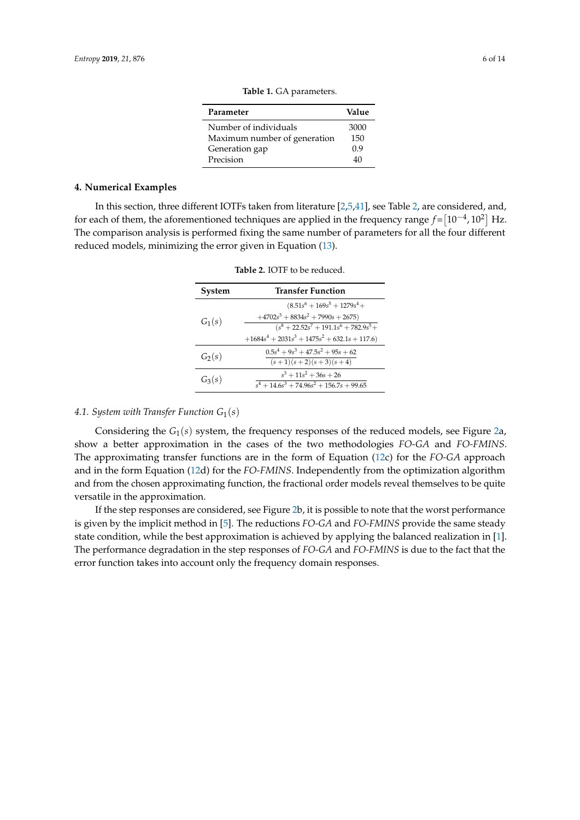| Parameter                    | Value |
|------------------------------|-------|
| Number of individuals        | 3000  |
| Maximum number of generation | 150   |
| Generation gap               | 0.9   |
| Precision                    | 40    |

**Table 1.** GA parameters.

#### <span id="page-5-1"></span><span id="page-5-0"></span>**4. Numerical Examples**

<span id="page-5-2"></span>In this section, three different IOTFs taken from literature [\[2,](#page-11-1)[5](#page-11-4)[,41\]](#page-12-16), see Table [2,](#page-5-2) are considered, and, for each of them, the aforementioned techniques are applied in the frequency range  $f = [10^{-4}, 10^2]$  Hz. The comparison analysis is performed fixing the same number of parameters for all the four different reduced models, minimizing the error given in Equation [\(13\)](#page-4-1).

| System   | <b>Transfer Function</b>                        |  |  |
|----------|-------------------------------------------------|--|--|
| $G_1(s)$ | $(8.51s^6 + 169s^5 + 1279s^4 +$                 |  |  |
|          | $+4702s^3+8834s^2+7990s+2675$                   |  |  |
|          | $(s^8 + 22.52s^7 + 191.1s^6 + 782.9s^5 +$       |  |  |
|          | $+1684s^4 + 2031s^3 + 1475s^2 + 632.1s + 117.6$ |  |  |
| $G_2(s)$ | $0.5s4 + 9s3 + 47.5s2 + 95s + 62$               |  |  |
|          | $\frac{(s+1)(s+2)(s+3)(s+4)}{s+2}$              |  |  |
| $G_3(s)$ | $s^3 + 11s^2 + 36s + 26$                        |  |  |
|          | $s^4 + 14.6s^3 + 74.96s^2 + 156.7s + 99.65$     |  |  |

**Table 2.** IOTF to be reduced.

## *4.1. System with Transfer Function G*1(*s*)

Considering the *G*1(*s*) system, the frequency responses of the reduced models, see Figure [2a](#page-6-0), show a better approximation in the cases of the two methodologies *FO-GA* and *FO-FMINS*. The approximating transfer functions are in the form of Equation [\(12c](#page-4-0)) for the *FO-GA* approach and in the form Equation [\(12d](#page-4-0)) for the *FO-FMINS*. Independently from the optimization algorithm and from the chosen approximating function, the fractional order models reveal themselves to be quite versatile in the approximation.

If the step responses are considered, see Figure [2b](#page-6-0), it is possible to note that the worst performance is given by the implicit method in [\[5\]](#page-11-4). The reductions *FO-GA* and *FO-FMINS* provide the same steady state condition, while the best approximation is achieved by applying the balanced realization in [\[1\]](#page-11-0). The performance degradation in the step responses of *FO-GA* and *FO-FMINS* is due to the fact that the error function takes into account only the frequency domain responses.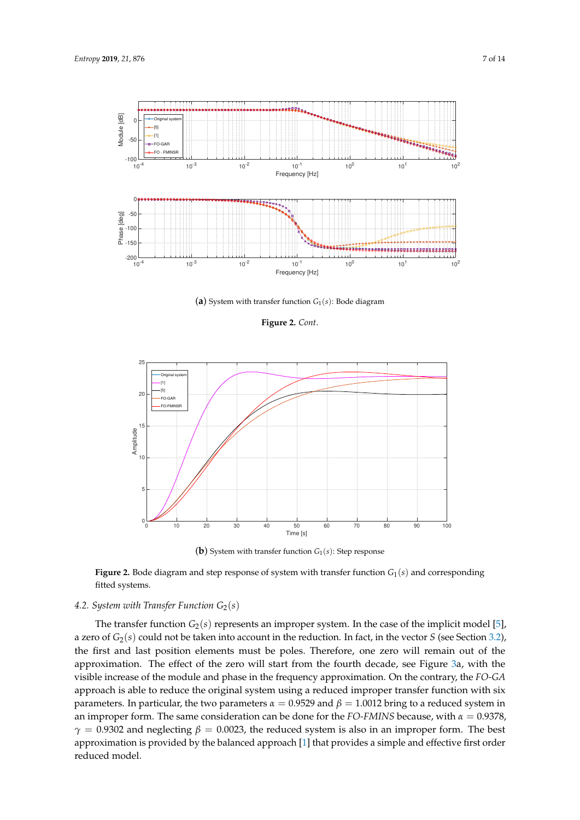

(**a**) System with transfer function *G*1(*s*): Bode diagram

**Figure 2.** *Cont*.

<span id="page-6-0"></span>

**(b)** System with transfer function  $G_1(s)$ : Step response

**Figure 2.** Bode diagram and step response of system with transfer function  $G_1(s)$  and corresponding fitted systems.

# *4.2. System with Transfer Function G*2(*s*)

The transfer function  $G_2(s)$  represents an improper system. In the case of the implicit model [\[5\]](#page-11-4), a zero of *G*2(*s*) could not be taken into account in the reduction. In fact, in the vector *S* (see Section [3.2\)](#page-3-1), the first and last position elements must be poles. Therefore, one zero will remain out of the approximation. The effect of the zero will start from the fourth decade, see Figure [3a](#page-7-0), with the visible increase of the module and phase in the frequency approximation. On the contrary, the *FO-GA* approach is able to reduce the original system using a reduced improper transfer function with six parameters. In particular, the two parameters  $α = 0.9529$  and  $β = 1.0012$  bring to a reduced system in an improper form. The same consideration can be done for the *FO-FMINS* because, with *α* = 0.9378,  $\gamma = 0.9302$  and neglecting  $\beta = 0.0023$ , the reduced system is also in an improper form. The best approximation is provided by the balanced approach [\[1\]](#page-11-0) that provides a simple and effective first order reduced model.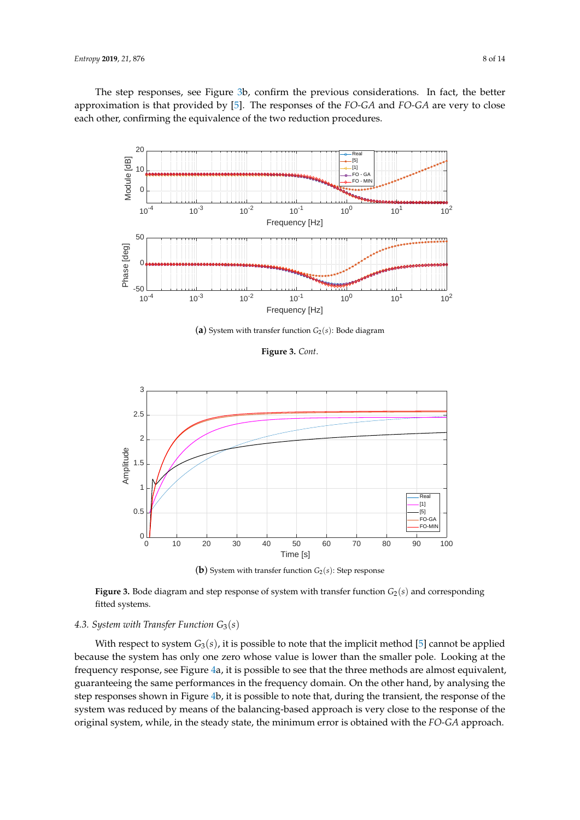The step responses, see Figure [3b](#page-7-0), confirm the previous considerations. In fact, the better approximation is that provided by [\[5\]](#page-11-4). The responses of the *FO-GA* and *FO-GA* are very to close each other, confirming the equivalence of the two reduction procedures.



(a) System with transfer function  $G_2(s)$ : Bode diagram

**Figure 3.** *Cont*.

<span id="page-7-0"></span>

(**b**) System with transfer function  $G_2(s)$ : Step response

**Figure 3.** Bode diagram and step response of system with transfer function  $G_2(s)$  and corresponding fitted systems.

## *4.3. System with Transfer Function G*3(*s*)

With respect to system  $G_3(s)$ , it is possible to note that the implicit method [\[5\]](#page-11-4) cannot be applied because the system has only one zero whose value is lower than the smaller pole. Looking at the frequency response, see Figure [4a](#page-8-0), it is possible to see that the three methods are almost equivalent, guaranteeing the same performances in the frequency domain. On the other hand, by analysing the step responses shown in Figure [4b](#page-8-0), it is possible to note that, during the transient, the response of the system was reduced by means of the balancing-based approach is very close to the response of the original system, while, in the steady state, the minimum error is obtained with the *FO-GA* approach.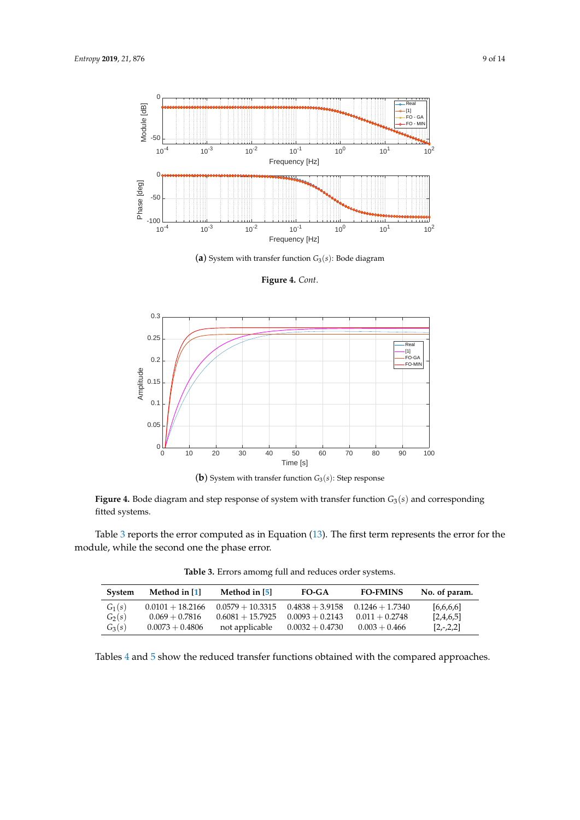

(**a**) System with transfer function *G*3(*s*): Bode diagram

**Figure 4.** *Cont*.

<span id="page-8-0"></span>

(**b**) System with transfer function *G*3(*s*): Step response

**Figure 4.** Bode diagram and step response of system with transfer function *G*3(*s*) and corresponding fitted systems.

<span id="page-8-1"></span>Table [3](#page-8-1) reports the error computed as in Equation [\(13\)](#page-4-1). The first term represents the error for the module, while the second one the phase error.

**Table 3.** Errors amomg full and reduces order systems.

| <b>System</b> | Method in $[1]$    | Method in $[5]$    | FO-GA             | <b>FO-FMINS</b>   | No. of param. |
|---------------|--------------------|--------------------|-------------------|-------------------|---------------|
| $G_1(s)$      | $0.0101 + 18.2166$ | $0.0579 + 10.3315$ | $0.4838 + 3.9158$ | $0.1246 + 1.7340$ | [6,6,6,6]     |
| $G_2(s)$      | $0.069 + 0.7816$   | $0.6081 + 15.7925$ | $0.0093 + 0.2143$ | $0.011 + 0.2748$  | [2,4,6,5]     |
| $G_3(s)$      | $0.0073 + 0.4806$  | not applicable     | $0.0032 + 0.4730$ | $0.003 + 0.466$   | $[2,-,2,2]$   |

Tables [4](#page-9-0) and [5](#page-9-1) show the reduced transfer functions obtained with the compared approaches.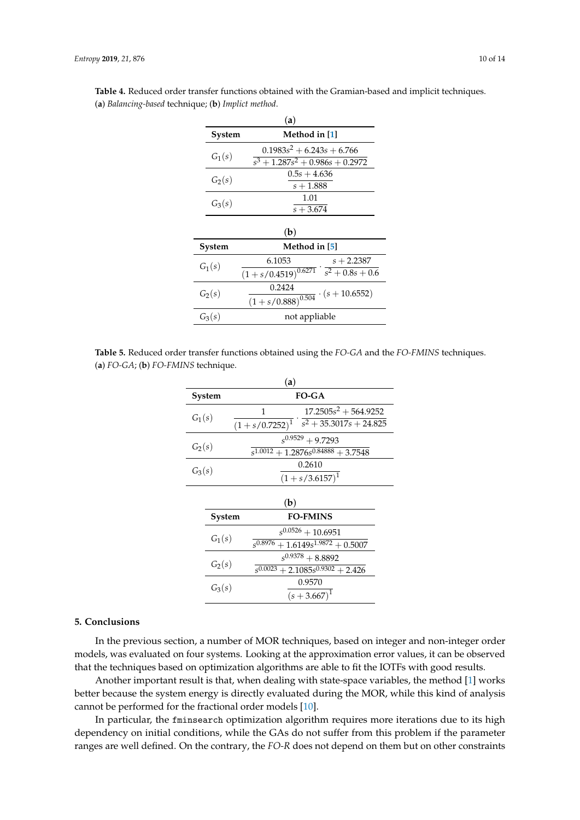| (a)      |                         |                                                             |              |
|----------|-------------------------|-------------------------------------------------------------|--------------|
|          | System                  | Method in [1]                                               |              |
| $G_1(s)$ |                         | $0.1983s^2 + 6.243s + 6.766$                                |              |
|          |                         | $\sqrt{s^3+1.287s^2}+0.986s+0.2972$                         |              |
|          |                         | $0.5s + 4.636$                                              |              |
|          | $G_2(s)$                | $s + 1.888$                                                 |              |
|          |                         | 1.01                                                        |              |
| $G_3(s)$ |                         | $s + 3.674$                                                 |              |
|          |                         |                                                             |              |
|          |                         | (b)                                                         |              |
|          | Method in [5]<br>System |                                                             |              |
| $G_1(s)$ |                         | 6.1053                                                      | $s + 2.2387$ |
|          |                         | $(1 + s/0.4519)^{0.6271} \cdot \overline{s^2 + 0.8s + 0.6}$ |              |
| $G_2(s)$ | 0.2424                  |                                                             |              |
|          |                         | $\frac{1}{(1+s/0.888)^{0.504}} \cdot (s+10.6552)$           |              |
|          | $G_3(s)$                | not appliable                                               |              |

 $\overline{a}$ 

<span id="page-9-0"></span>**Table 4.** Reduced order transfer functions obtained with the Gramian-based and implicit techniques. (**a**) *Balancing-based* technique; (**b**) *Implict method*.

<span id="page-9-1"></span>

|                                                       | Table 5. Reduced order transfer functions obtained using the FO-GA and the FO-FMINS techniques. |  |
|-------------------------------------------------------|-------------------------------------------------------------------------------------------------|--|
| (a) $FO\text{-}GA$ ; (b) $FO\text{-}FMINS$ technique. |                                                                                                 |  |

| (a)                       |          |                                                                                             |                                                                        |
|---------------------------|----------|---------------------------------------------------------------------------------------------|------------------------------------------------------------------------|
|                           | System   | <b>FO-GA</b>                                                                                |                                                                        |
| $G_1(s)$                  |          | $17.2505s^2 + 564.9252$<br>1<br>$(1 + s/0.7252)^{1}$ $s^{2} + 35.\overline{3017s + 24.825}$ |                                                                        |
| $G_2(s)$                  |          | $s^{0.9529} + 9.7293$<br>$\sqrt{5^{1.0012} + 1.2876s^{0.84888} + 3.7548s^{0.6488}}$         |                                                                        |
| $G_3(s)$                  |          | 0.2610<br>$(1 + s/3.6157)^{1}$                                                              |                                                                        |
| (b)                       |          |                                                                                             |                                                                        |
| <b>FO-FMINS</b><br>System |          |                                                                                             |                                                                        |
|                           | $G_1(s)$ |                                                                                             | $s^{0.0526}+10.6951$<br>$\sqrt[5]{6.8976} + 1.6149s^{1.9872} + 0.5007$ |
|                           | $G_2(s)$ |                                                                                             | $s^{0.9378} + 8.8892$<br>$\sqrt[3]{s^{0.0023}+2.1085s^{0.9302}+2.426}$ |
|                           | $G_3(s)$ |                                                                                             | 0.9570<br>$(s + 3.667)^1$                                              |
|                           |          |                                                                                             |                                                                        |

## **5. Conclusions**

In the previous section, a number of MOR techniques, based on integer and non-integer order models, was evaluated on four systems. Looking at the approximation error values, it can be observed that the techniques based on optimization algorithms are able to fit the IOTFs with good results.

Another important result is that, when dealing with state-space variables, the method [\[1\]](#page-11-0) works better because the system energy is directly evaluated during the MOR, while this kind of analysis cannot be performed for the fractional order models [\[10\]](#page-11-9).

In particular, the fminsearch optimization algorithm requires more iterations due to its high dependency on initial conditions, while the GAs do not suffer from this problem if the parameter ranges are well defined. On the contrary, the *FO-R* does not depend on them but on other constraints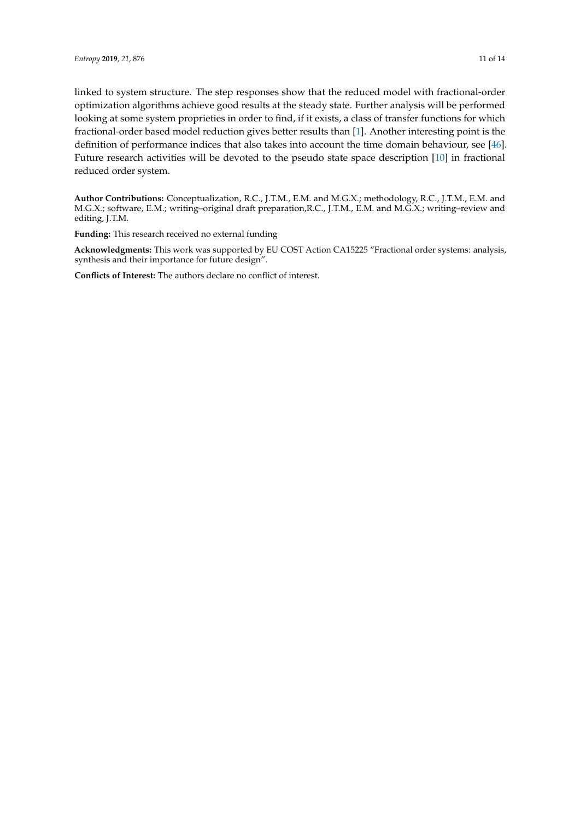linked to system structure. The step responses show that the reduced model with fractional-order optimization algorithms achieve good results at the steady state. Further analysis will be performed looking at some system proprieties in order to find, if it exists, a class of transfer functions for which fractional-order based model reduction gives better results than [\[1\]](#page-11-0). Another interesting point is the definition of performance indices that also takes into account the time domain behaviour, see [\[46\]](#page-13-1). Future research activities will be devoted to the pseudo state space description [\[10\]](#page-11-9) in fractional reduced order system.

**Author Contributions:** Conceptualization, R.C., J.T.M., E.M. and M.G.X.; methodology, R.C., J.T.M., E.M. and M.G.X.; software, E.M.; writing–original draft preparation,R.C., J.T.M., E.M. and M.G.X.; writing–review and editing, J.T.M.

**Funding:** This research received no external funding

**Acknowledgments:** This work was supported by EU COST Action CA15225 "Fractional order systems: analysis, synthesis and their importance for future design".

**Conflicts of Interest:** The authors declare no conflict of interest.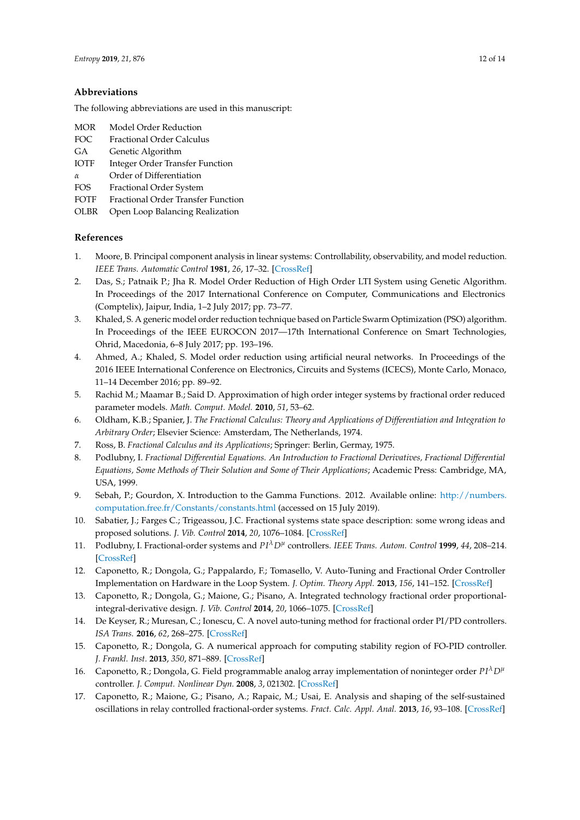## **Abbreviations**

The following abbreviations are used in this manuscript:

- MOR Model Order Reduction
- FOC Fractional Order Calculus
- GA Genetic Algorithm
- IOTF Integer Order Transfer Function
- *α* Order of Differentiation
- FOS Fractional Order System
- FOTF Fractional Order Transfer Function
- OLBR Open Loop Balancing Realization

## **References**

- <span id="page-11-0"></span>1. Moore, B. Principal component analysis in linear systems: Controllability, observability, and model reduction. *IEEE Trans. Automatic Control* **1981**, *26*, 17–32. [\[CrossRef\]](http://dx.doi.org/10.1109/TAC.1981.1102568)
- <span id="page-11-1"></span>2. Das, S.; Patnaik P.; Jha R. Model Order Reduction of High Order LTI System using Genetic Algorithm. In Proceedings of the 2017 International Conference on Computer, Communications and Electronics (Comptelix), Jaipur, India, 1–2 July 2017; pp. 73–77.
- <span id="page-11-2"></span>3. Khaled, S. A generic model order reduction technique based on Particle Swarm Optimization (PSO) algorithm. In Proceedings of the IEEE EUROCON 2017—17th International Conference on Smart Technologies, Ohrid, Macedonia, 6–8 July 2017; pp. 193–196.
- <span id="page-11-3"></span>4. Ahmed, A.; Khaled, S. Model order reduction using artificial neural networks. In Proceedings of the 2016 IEEE International Conference on Electronics, Circuits and Systems (ICECS), Monte Carlo, Monaco, 11–14 December 2016; pp. 89–92.
- <span id="page-11-4"></span>5. Rachid M.; Maamar B.; Said D. Approximation of high order integer systems by fractional order reduced parameter models. *Math. Comput. Model.* **2010**, *51*, 53–62.
- <span id="page-11-5"></span>6. Oldham, K.B.; Spanier, J. *The Fractional Calculus: Theory and Applications of Differentiation and Integration to Arbitrary Order*; Elsevier Science: Amsterdam, The Netherlands, 1974.
- <span id="page-11-6"></span>7. Ross, B. *Fractional Calculus and its Applications*; Springer: Berlin, Germay, 1975.
- <span id="page-11-7"></span>8. Podlubny, I. *Fractional Differential Equations. An Introduction to Fractional Derivatives, Fractional Differential Equations, Some Methods of Their Solution and Some of Their Applications*; Academic Press: Cambridge, MA, USA, 1999.
- <span id="page-11-8"></span>9. Sebah, P.; Gourdon, X. Introduction to the Gamma Functions. 2012. Available online: [http://numbers.](http://numbers.computation.free.fr/Constants/constants.html) [computation.free.fr/Constants/constants.html](http://numbers.computation.free.fr/Constants/constants.html) (accessed on 15 July 2019).
- <span id="page-11-9"></span>10. Sabatier, J.; Farges C.; Trigeassou, J.C. Fractional systems state space description: some wrong ideas and proposed solutions. *J. Vib. Control* **2014**, *20*, 1076–1084. [\[CrossRef\]](http://dx.doi.org/10.1177/1077546313481839)
- <span id="page-11-10"></span>11. Podlubny, I. Fractional-order systems and *PI<sup>λ</sup>D<sup>µ</sup>* controllers. *IEEE Trans. Autom. Control* **1999**, 44, 208–214. [\[CrossRef\]](http://dx.doi.org/10.1109/9.739144)
- 12. Caponetto, R.; Dongola, G.; Pappalardo, F.; Tomasello, V. Auto-Tuning and Fractional Order Controller Implementation on Hardware in the Loop System. *J. Optim. Theory Appl.* **2013**, *156*, 141–152. [\[CrossRef\]](http://dx.doi.org/10.1007/s10957-012-0235-y)
- 13. Caponetto, R.; Dongola, G.; Maione, G.; Pisano, A. Integrated technology fractional order proportionalintegral-derivative design. *J. Vib. Control* **2014**, *20*, 1066–1075. [\[CrossRef\]](http://dx.doi.org/10.1177/1077546313487939)
- 14. De Keyser, R.; Muresan, C.; Ionescu, C. A novel auto-tuning method for fractional order PI/PD controllers. *ISA Trans.* **2016**, *62*, 268–275. [\[CrossRef\]](http://dx.doi.org/10.1016/j.isatra.2016.01.021)
- 15. Caponetto, R.; Dongola, G. A numerical approach for computing stability region of FO-PID controller. *J. Frankl. Inst.* **2013**, *350*, 871–889. [\[CrossRef\]](http://dx.doi.org/10.1016/j.jfranklin.2013.01.017)
- 16. Caponetto, R.; Dongola, G. Field programmable analog array implementation of noninteger order  $P I^{\lambda} D^{\mu}$ controller. *J. Comput. Nonlinear Dyn.* **2008**, *3*, 021302. [\[CrossRef\]](http://dx.doi.org/10.1115/1.2833908)
- 17. Caponetto, R.; Maione, G.; Pisano, A.; Rapaic, M.; Usai, E. Analysis and shaping of the self-sustained oscillations in relay controlled fractional-order systems. *Fract. Calc. Appl. Anal.* **2013**, *16*, 93–108. [\[CrossRef\]](http://dx.doi.org/10.2478/s13540-013-0007-x)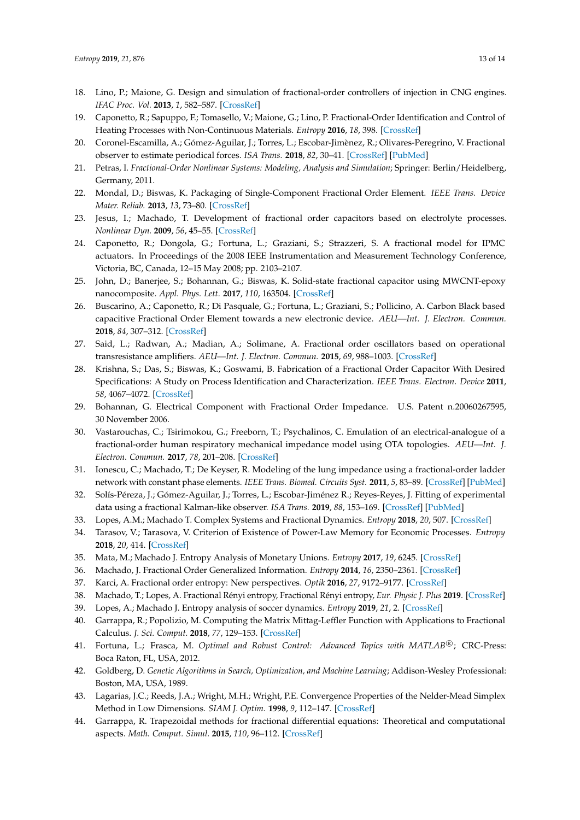- 18. Lino, P.; Maione, G. Design and simulation of fractional-order controllers of injection in CNG engines. *IFAC Proc. Vol.* **2013**, *1*, 582–587. [\[CrossRef\]](http://dx.doi.org/10.3182/20130904-4-JP-2042.00115)
- 19. Caponetto, R.; Sapuppo, F.; Tomasello, V.; Maione, G.; Lino, P. Fractional-Order Identification and Control of Heating Processes with Non-Continuous Materials. *Entropy* **2016**, *18*, 398. [\[CrossRef\]](http://dx.doi.org/10.3390/e18110398)
- <span id="page-12-0"></span>20. Coronel-Escamilla, A.; Gómez-Aguilar, J.; Torres, L.; Escobar-Jimènez, R.; Olivares-Peregrino, V. Fractional observer to estimate periodical forces. *ISA Trans.* **2018**, *82*, 30–41. [\[CrossRef\]](http://dx.doi.org/10.1016/j.isatra.2017.11.003) [\[PubMed\]](http://www.ncbi.nlm.nih.gov/pubmed/29150320)
- <span id="page-12-1"></span>21. Petras, I. *Fractional-Order Nonlinear Systems: Modeling, Analysis and Simulation*; Springer: Berlin/Heidelberg, Germany, 2011.
- <span id="page-12-2"></span>22. Mondal, D.; Biswas, K. Packaging of Single-Component Fractional Order Element. *IEEE Trans. Device Mater. Reliab.* **2013**, *13*, 73–80. [\[CrossRef\]](http://dx.doi.org/10.1109/TDMR.2012.2212020)
- 23. Jesus, I.; Machado, T. Development of fractional order capacitors based on electrolyte processes. *Nonlinear Dyn.* **2009**, *56*, 45–55. [\[CrossRef\]](http://dx.doi.org/10.1007/s11071-008-9377-8)
- 24. Caponetto, R.; Dongola, G.; Fortuna, L.; Graziani, S.; Strazzeri, S. A fractional model for IPMC actuators. In Proceedings of the 2008 IEEE Instrumentation and Measurement Technology Conference, Victoria, BC, Canada, 12–15 May 2008; pp. 2103–2107.
- 25. John, D.; Banerjee, S.; Bohannan, G.; Biswas, K. Solid-state fractional capacitor using MWCNT-epoxy nanocomposite. *Appl. Phys. Lett.* **2017**, *110*, 163504. [\[CrossRef\]](http://dx.doi.org/10.1063/1.4981204)
- <span id="page-12-3"></span>26. Buscarino, A.; Caponetto, R.; Di Pasquale, G.; Fortuna, L.; Graziani, S.; Pollicino, A. Carbon Black based capacitive Fractional Order Element towards a new electronic device. *AEU—Int. J. Electron. Commun.* **2018**, *84*, 307–312. [\[CrossRef\]](http://dx.doi.org/10.1016/j.aeue.2017.12.018)
- <span id="page-12-4"></span>27. Said, L.; Radwan, A.; Madian, A.; Solimane, A. Fractional order oscillators based on operational transresistance amplifiers. *AEU—Int. J. Electron. Commun.* **2015**, *69*, 988–1003. [\[CrossRef\]](http://dx.doi.org/10.1016/j.aeue.2015.03.003)
- 28. Krishna, S.; Das, S.; Biswas, K.; Goswami, B. Fabrication of a Fractional Order Capacitor With Desired Specifications: A Study on Process Identification and Characterization. *IEEE Trans. Electron. Device* **2011**, *58*, 4067–4072. [\[CrossRef\]](http://dx.doi.org/10.1109/TED.2011.2166763)
- <span id="page-12-5"></span>29. Bohannan, G. Electrical Component with Fractional Order Impedance. U.S. Patent n.20060267595, 30 November 2006.
- <span id="page-12-6"></span>30. Vastarouchas, C.; Tsirimokou, G.; Freeborn, T.; Psychalinos, C. Emulation of an electrical-analogue of a fractional-order human respiratory mechanical impedance model using OTA topologies. *AEU—Int. J. Electron. Commun.* **2017**, *78*, 201–208. [\[CrossRef\]](http://dx.doi.org/10.1016/j.aeue.2017.03.021)
- 31. Ionescu, C.; Machado, T.; De Keyser, R. Modeling of the lung impedance using a fractional-order ladder network with constant phase elements. *IEEE Trans. Biomed. Circuits Syst.* **2011**, *5*, 83–89. [\[CrossRef\]](http://dx.doi.org/10.1109/TBCAS.2010.2077636) [\[PubMed\]](http://www.ncbi.nlm.nih.gov/pubmed/23850980)
- <span id="page-12-7"></span>32. Solís-Péreza, J.; Gómez-Aguilar, J.; Torres, L.; Escobar-Jiménez R.; Reyes-Reyes, J. Fitting of experimental data using a fractional Kalman-like observer. *ISA Trans.* **2019**, *88*, 153–169. [\[CrossRef\]](http://dx.doi.org/10.1016/j.isatra.2018.11.036) [\[PubMed\]](http://www.ncbi.nlm.nih.gov/pubmed/30545766)
- <span id="page-12-8"></span>33. Lopes, A.M.; Machado T. Complex Systems and Fractional Dynamics. *Entropy* **2018**, *20*, 507. [\[CrossRef\]](http://dx.doi.org/10.3390/e20070507)
- <span id="page-12-9"></span>34. Tarasov, V.; Tarasova, V. Criterion of Existence of Power-Law Memory for Economic Processes. *Entropy* **2018**, *20*, 414. [\[CrossRef\]](http://dx.doi.org/10.3390/e20060414)
- <span id="page-12-10"></span>35. Mata, M.; Machado J. Entropy Analysis of Monetary Unions. *Entropy* **2017**, *19*, 6245. [\[CrossRef\]](http://dx.doi.org/10.3390/e19060245)
- <span id="page-12-11"></span>36. Machado, J. Fractional Order Generalized Information. *Entropy* **2014**, *16*, 2350–2361. [\[CrossRef\]](http://dx.doi.org/10.3390/e16042350)
- <span id="page-12-12"></span>37. Karci, A. Fractional order entropy: New perspectives. *Optik* **2016**, *27*, 9172–9177. [\[CrossRef\]](http://dx.doi.org/10.1016/j.ijleo.2016.06.119)
- <span id="page-12-13"></span>38. Machado, T.; Lopes, A. Fractional Rényi entropy, Fractional Rényi entropy, *Eur. Physic J. Plus* **2019**. [\[CrossRef\]](http://dx.doi.org/10.1140/epjp/i2019-12554-9)
- <span id="page-12-14"></span>39. Lopes, A.; Machado J. Entropy analysis of soccer dynamics. *Entropy* **2019**, *21*, 2. [\[CrossRef\]](http://dx.doi.org/10.3390/e21020187)
- <span id="page-12-15"></span>40. Garrappa, R.; Popolizio, M. Computing the Matrix Mittag-Leffler Function with Applications to Fractional Calculus. *J. Sci. Comput.* **2018**, *77*, 129–153. [\[CrossRef\]](http://dx.doi.org/10.1007/s10915-018-0699-5)
- <span id="page-12-16"></span>41. Fortuna, L.; Frasca, M. Optimal and Robust Control: Advanced Topics with MATLAB<sup>®</sup>; CRC-Press: Boca Raton, FL, USA, 2012.
- <span id="page-12-17"></span>42. Goldberg, D. *Genetic Algorithms in Search, Optimization, and Machine Learning*; Addison-Wesley Professional: Boston, MA, USA, 1989.
- <span id="page-12-18"></span>43. Lagarias, J.C.; Reeds, J.A.; Wright, M.H.; Wright, P.E. Convergence Properties of the Nelder-Mead Simplex Method in Low Dimensions. *SIAM J. Optim.* **1998**, *9*, 112–147. [\[CrossRef\]](http://dx.doi.org/10.1137/S1052623496303470)
- <span id="page-12-19"></span>44. Garrappa, R. Trapezoidal methods for fractional differential equations: Theoretical and computational aspects. *Math. Comput. Simul.* **2015**, *110*, 96–112. [\[CrossRef\]](http://dx.doi.org/10.1016/j.matcom.2013.09.012)